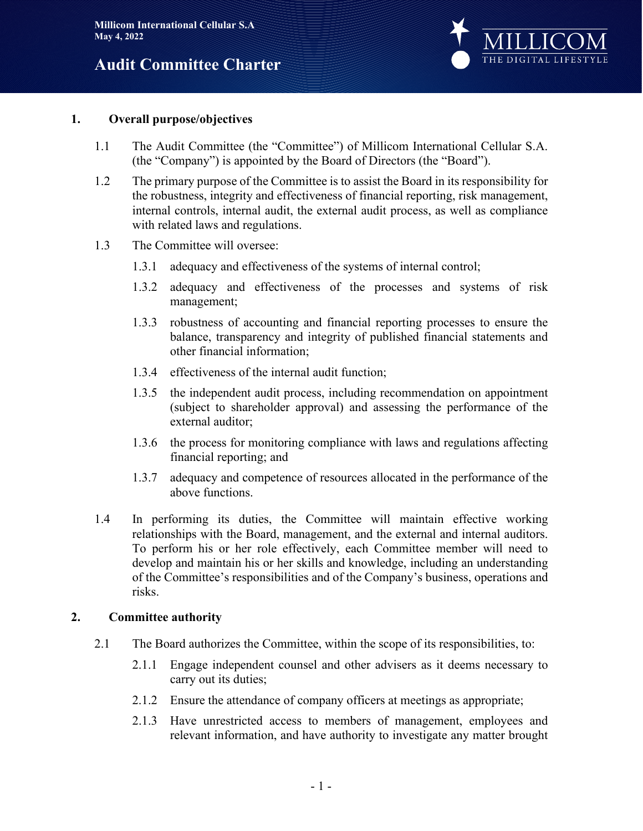

#### **1. Overall purpose/objectives**

- 1.1 The Audit Committee (the "Committee") of Millicom International Cellular S.A. (the "Company") is appointed by the Board of Directors (the "Board").
- 1.2 The primary purpose of the Committee is to assist the Board in its responsibility for the robustness, integrity and effectiveness of financial reporting, risk management, internal controls, internal audit, the external audit process, as well as compliance with related laws and regulations.
- 1.3 The Committee will oversee:
	- 1.3.1 adequacy and effectiveness of the systems of internal control;
	- 1.3.2 adequacy and effectiveness of the processes and systems of risk management;
	- 1.3.3 robustness of accounting and financial reporting processes to ensure the balance, transparency and integrity of published financial statements and other financial information;
	- 1.3.4 effectiveness of the internal audit function;
	- 1.3.5 the independent audit process, including recommendation on appointment (subject to shareholder approval) and assessing the performance of the external auditor;
	- 1.3.6 the process for monitoring compliance with laws and regulations affecting financial reporting; and
	- 1.3.7 adequacy and competence of resources allocated in the performance of the above functions.
- 1.4 In performing its duties, the Committee will maintain effective working relationships with the Board, management, and the external and internal auditors. To perform his or her role effectively, each Committee member will need to develop and maintain his or her skills and knowledge, including an understanding of the Committee's responsibilities and of the Company's business, operations and risks.

### **2. Committee authority**

- 2.1 The Board authorizes the Committee, within the scope of its responsibilities, to:
	- 2.1.1 Engage independent counsel and other advisers as it deems necessary to carry out its duties;
	- 2.1.2 Ensure the attendance of company officers at meetings as appropriate;
	- 2.1.3 Have unrestricted access to members of management, employees and relevant information, and have authority to investigate any matter brought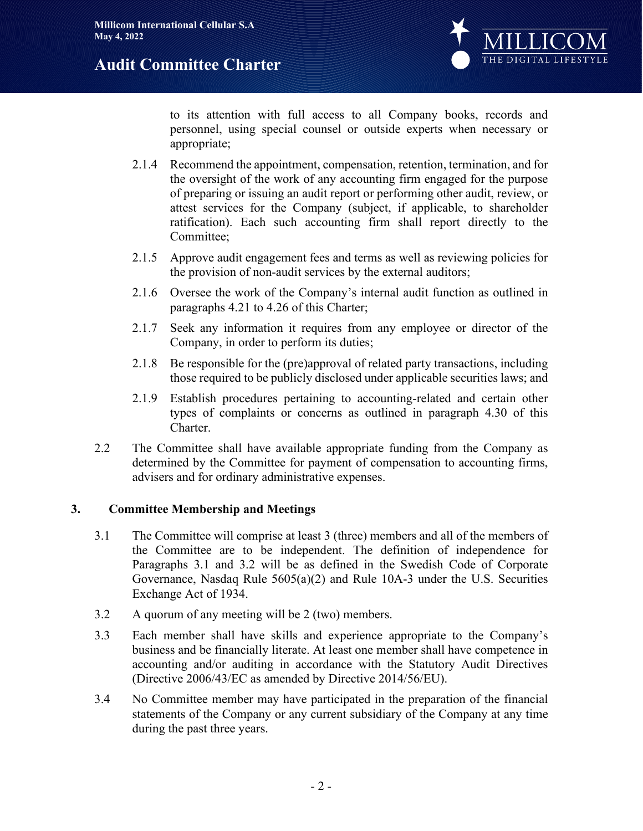

to its attention with full access to all Company books, records and personnel, using special counsel or outside experts when necessary or appropriate;

- 2.1.4 Recommend the appointment, compensation, retention, termination, and for the oversight of the work of any accounting firm engaged for the purpose of preparing or issuing an audit report or performing other audit, review, or attest services for the Company (subject, if applicable, to shareholder ratification). Each such accounting firm shall report directly to the Committee;
- 2.1.5 Approve audit engagement fees and terms as well as reviewing policies for the provision of non-audit services by the external auditors;
- 2.1.6 Oversee the work of the Company's internal audit function as outlined in paragraphs 4.21 to 4.26 of this Charter;
- 2.1.7 Seek any information it requires from any employee or director of the Company, in order to perform its duties;
- 2.1.8 Be responsible for the (pre)approval of related party transactions, including those required to be publicly disclosed under applicable securities laws; and
- 2.1.9 Establish procedures pertaining to accounting-related and certain other types of complaints or concerns as outlined in paragraph 4.30 of this Charter.
- 2.2 The Committee shall have available appropriate funding from the Company as determined by the Committee for payment of compensation to accounting firms, advisers and for ordinary administrative expenses.

## **3. Committee Membership and Meetings**

- 3.1 The Committee will comprise at least 3 (three) members and all of the members of the Committee are to be independent. The definition of independence for Paragraphs 3.1 and 3.2 will be as defined in the Swedish Code of Corporate Governance, Nasdaq Rule 5605(a)(2) and Rule 10A-3 under the U.S. Securities Exchange Act of 1934.
- 3.2 A quorum of any meeting will be 2 (two) members.
- 3.3 Each member shall have skills and experience appropriate to the Company's business and be financially literate. At least one member shall have competence in accounting and/or auditing in accordance with the Statutory Audit Directives (Directive 2006/43/EC as amended by Directive 2014/56/EU).
- 3.4 No Committee member may have participated in the preparation of the financial statements of the Company or any current subsidiary of the Company at any time during the past three years.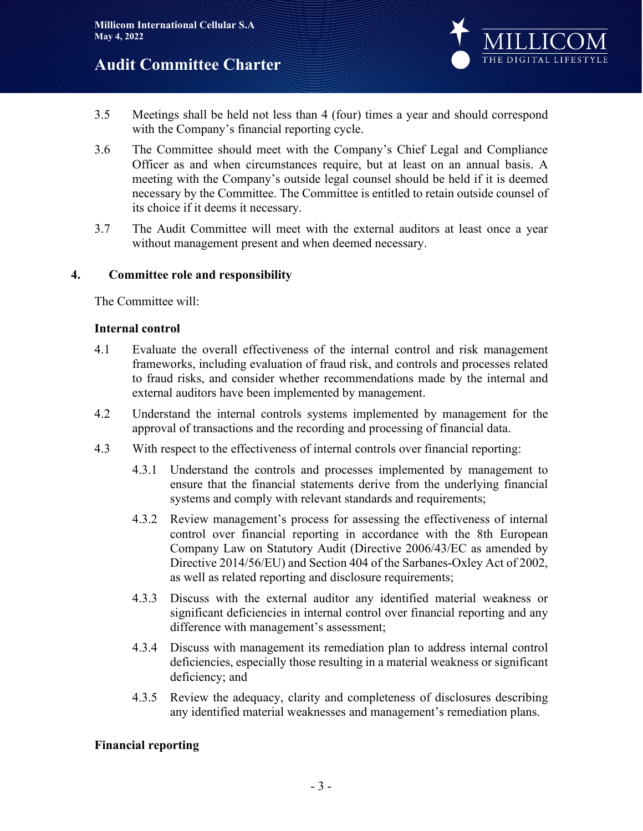

- 3.5 Meetings shall be held not less than 4 (four) times a year and should correspond with the Company's financial reporting cycle.
- 3.6 The Committee should meet with the Company's Chief Legal and Compliance Officer as and when circumstances require, but at least on an annual basis. A meeting with the Company's outside legal counsel should be held if it is deemed necessary by the Committee. The Committee is entitled to retain outside counsel of its choice if it deems it necessary.
- 3.7 The Audit Committee will meet with the external auditors at least once a year without management present and when deemed necessary.

## **4. Committee role and responsibility**

The Committee will:

### **Internal control**

- 4.1 Evaluate the overall effectiveness of the internal control and risk management frameworks, including evaluation of fraud risk, and controls and processes related to fraud risks, and consider whether recommendations made by the internal and external auditors have been implemented by management.
- 4.2 Understand the internal controls systems implemented by management for the approval of transactions and the recording and processing of financial data.
- 4.3 With respect to the effectiveness of internal controls over financial reporting:
	- 4.3.1 Understand the controls and processes implemented by management to ensure that the financial statements derive from the underlying financial systems and comply with relevant standards and requirements;
	- 4.3.2 Review management's process for assessing the effectiveness of internal control over financial reporting in accordance with the 8th European Company Law on Statutory Audit (Directive 2006/43/EC as amended by Directive 2014/56/EU) and Section 404 of the Sarbanes-Oxley Act of 2002, as well as related reporting and disclosure requirements;
	- 4.3.3 Discuss with the external auditor any identified material weakness or significant deficiencies in internal control over financial reporting and any difference with management's assessment;
	- 4.3.4 Discuss with management its remediation plan to address internal control deficiencies, especially those resulting in a material weakness or significant deficiency; and
	- 4.3.5 Review the adequacy, clarity and completeness of disclosures describing any identified material weaknesses and management's remediation plans.

### **Financial reporting**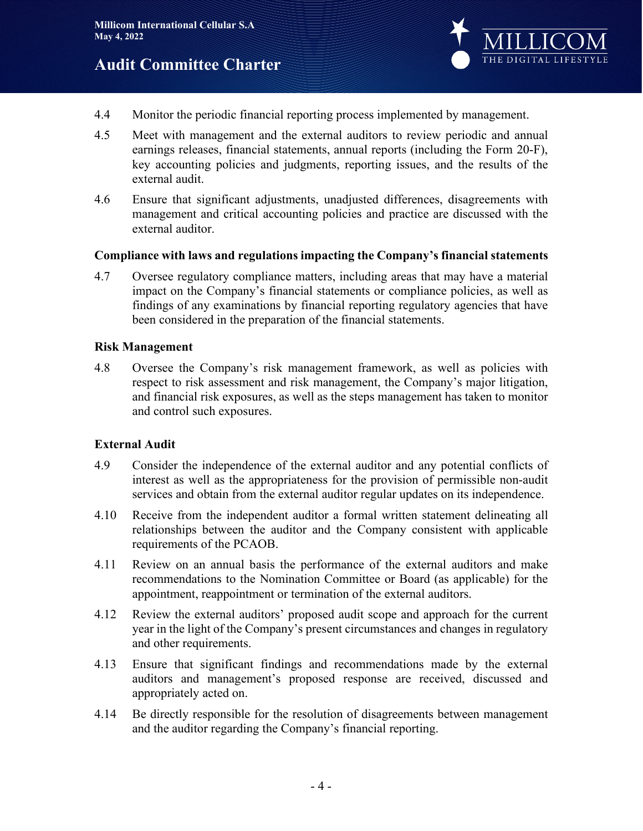

- 4.4 Monitor the periodic financial reporting process implemented by management.
- 4.5 Meet with management and the external auditors to review periodic and annual earnings releases, financial statements, annual reports (including the Form 20-F), key accounting policies and judgments, reporting issues, and the results of the external audit.
- 4.6 Ensure that significant adjustments, unadjusted differences, disagreements with management and critical accounting policies and practice are discussed with the external auditor.

### **Compliance with laws and regulations impacting the Company's financial statements**

4.7 Oversee regulatory compliance matters, including areas that may have a material impact on the Company's financial statements or compliance policies, as well as findings of any examinations by financial reporting regulatory agencies that have been considered in the preparation of the financial statements.

#### **Risk Management**

4.8 Oversee the Company's risk management framework, as well as policies with respect to risk assessment and risk management, the Company's major litigation, and financial risk exposures, as well as the steps management has taken to monitor and control such exposures.

### **External Audit**

- 4.9 Consider the independence of the external auditor and any potential conflicts of interest as well as the appropriateness for the provision of permissible non-audit services and obtain from the external auditor regular updates on its independence.
- 4.10 Receive from the independent auditor a formal written statement delineating all relationships between the auditor and the Company consistent with applicable requirements of the PCAOB.
- 4.11 Review on an annual basis the performance of the external auditors and make recommendations to the Nomination Committee or Board (as applicable) for the appointment, reappointment or termination of the external auditors.
- 4.12 Review the external auditors' proposed audit scope and approach for the current year in the light of the Company's present circumstances and changes in regulatory and other requirements.
- 4.13 Ensure that significant findings and recommendations made by the external auditors and management's proposed response are received, discussed and appropriately acted on.
- 4.14 Be directly responsible for the resolution of disagreements between management and the auditor regarding the Company's financial reporting.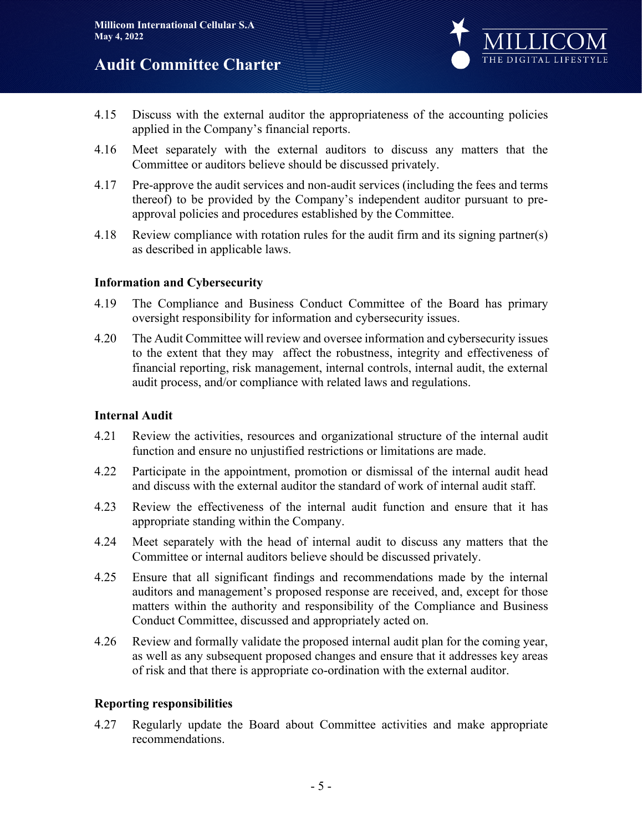

- 4.15 Discuss with the external auditor the appropriateness of the accounting policies applied in the Company's financial reports.
- 4.16 Meet separately with the external auditors to discuss any matters that the Committee or auditors believe should be discussed privately.
- 4.17 Pre-approve the audit services and non-audit services (including the fees and terms thereof) to be provided by the Company's independent auditor pursuant to preapproval policies and procedures established by the Committee.
- 4.18 Review compliance with rotation rules for the audit firm and its signing partner(s) as described in applicable laws.

### **Information and Cybersecurity**

- 4.19 The Compliance and Business Conduct Committee of the Board has primary oversight responsibility for information and cybersecurity issues.
- 4.20 The Audit Committee will review and oversee information and cybersecurity issues to the extent that they may affect the robustness, integrity and effectiveness of financial reporting, risk management, internal controls, internal audit, the external audit process, and/or compliance with related laws and regulations.

### **Internal Audit**

- 4.21 Review the activities, resources and organizational structure of the internal audit function and ensure no unjustified restrictions or limitations are made.
- 4.22 Participate in the appointment, promotion or dismissal of the internal audit head and discuss with the external auditor the standard of work of internal audit staff.
- 4.23 Review the effectiveness of the internal audit function and ensure that it has appropriate standing within the Company.
- 4.24 Meet separately with the head of internal audit to discuss any matters that the Committee or internal auditors believe should be discussed privately.
- 4.25 Ensure that all significant findings and recommendations made by the internal auditors and management's proposed response are received, and, except for those matters within the authority and responsibility of the Compliance and Business Conduct Committee, discussed and appropriately acted on.
- 4.26 Review and formally validate the proposed internal audit plan for the coming year, as well as any subsequent proposed changes and ensure that it addresses key areas of risk and that there is appropriate co-ordination with the external auditor.

### **Reporting responsibilities**

4.27 Regularly update the Board about Committee activities and make appropriate recommendations.